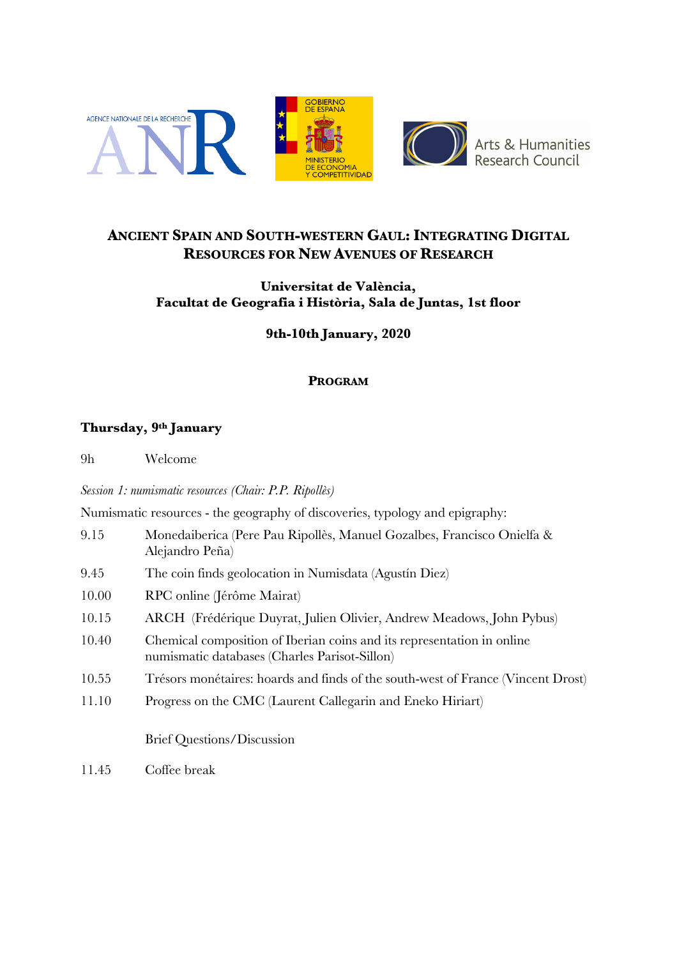

## **ANCIENT SPAIN AND SOUTH-WESTERN GAUL: INTEGRATING DIGITAL RESOURCES FOR NEW AVENUES OF RESEARCH**

### **Universitat de València, Facultat de Geografia i Història, Sala de Juntas, 1st floor**

**9th-10th January, 2020**

### **PROGRAM**

## **Thursday, 9th January**

9h Welcome

*Session 1: numismatic resources (Chair: P.P. Ripollès)*

Numismatic resources - the geography of discoveries, typology and epigraphy:

- 9.15 Monedaiberica (Pere Pau Ripollès, Manuel Gozalbes, Francisco Onielfa & Alejandro Peña)
- 9.45 The coin finds geolocation in Numisdata (Agustín Diez)
- 10.00 RPC online (Jérôme Mairat)
- 10.15 ARCH (Frédérique Duyrat, Julien Olivier, Andrew Meadows, John Pybus)
- 10.40 Chemical composition of Iberian coins and its representation in online numismatic databases (Charles Parisot-Sillon)
- 10.55 Trésors monétaires: hoards and finds of the south-west of France (Vincent Drost)
- 11.10 Progress on the CMC (Laurent Callegarin and Eneko Hiriart)

Brief Questions/Discussion

11.45 Coffee break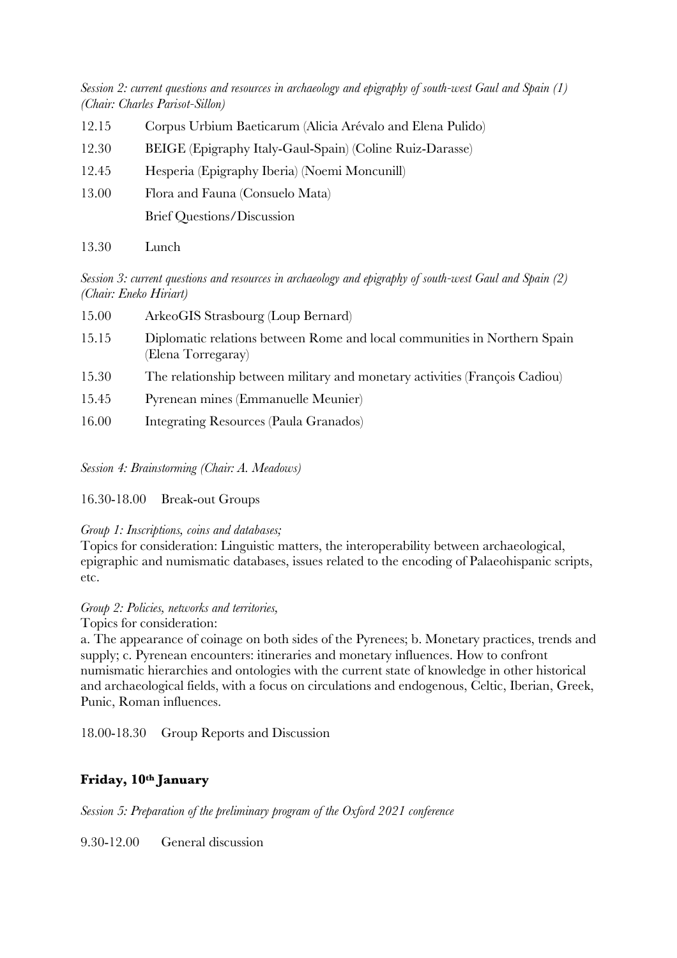*Session 2: current questions and resources in archaeology and epigraphy of south-west Gaul and Spain (1) (Chair: Charles Parisot-Sillon)*

- 12.15 Corpus Urbium Baeticarum (Alicia Arévalo and Elena Pulido)
- 12.30 BEIGE (Epigraphy Italy-Gaul-Spain) (Coline Ruiz-Darasse)
- 12.45 Hesperia (Epigraphy Iberia) (Noemi Moncunill)
- 13.00 Flora and Fauna (Consuelo Mata) Brief Questions/Discussion
- 13.30 Lunch

*Session 3: current questions and resources in archaeology and epigraphy of south-west Gaul and Spain (2) (Chair: Eneko Hiriart)*

| 15.00 | ArkeoGIS Strasbourg (Loup Bernard)                                                              |
|-------|-------------------------------------------------------------------------------------------------|
| 15.15 | Diplomatic relations between Rome and local communities in Northern Spain<br>(Elena Torregaray) |
| 15.30 | The relationship between military and monetary activities (François Cadiou)                     |
| 15.45 | Pyrenean mines (Emmanuelle Meunier)                                                             |
| 16.00 | Integrating Resources (Paula Granados)                                                          |

*Session 4: Brainstorming (Chair: A. Meadows)*

#### 16.30-18.00 Break-out Groups

#### *Group 1: Inscriptions, coins and databases;*

Topics for consideration: Linguistic matters, the interoperability between archaeological, epigraphic and numismatic databases, issues related to the encoding of Palaeohispanic scripts, etc.

#### *Group 2: Policies, networks and territories,*

Topics for consideration:

a. The appearance of coinage on both sides of the Pyrenees; b. Monetary practices, trends and supply; c. Pyrenean encounters: itineraries and monetary influences. How to confront numismatic hierarchies and ontologies with the current state of knowledge in other historical and archaeological fields, with a focus on circulations and endogenous, Celtic, Iberian, Greek, Punic, Roman influences.

18.00-18.30 Group Reports and Discussion

## **Friday, 10th January**

*Session 5: Preparation of the preliminary program of the Oxford 2021 conference*

9.30-12.00 General discussion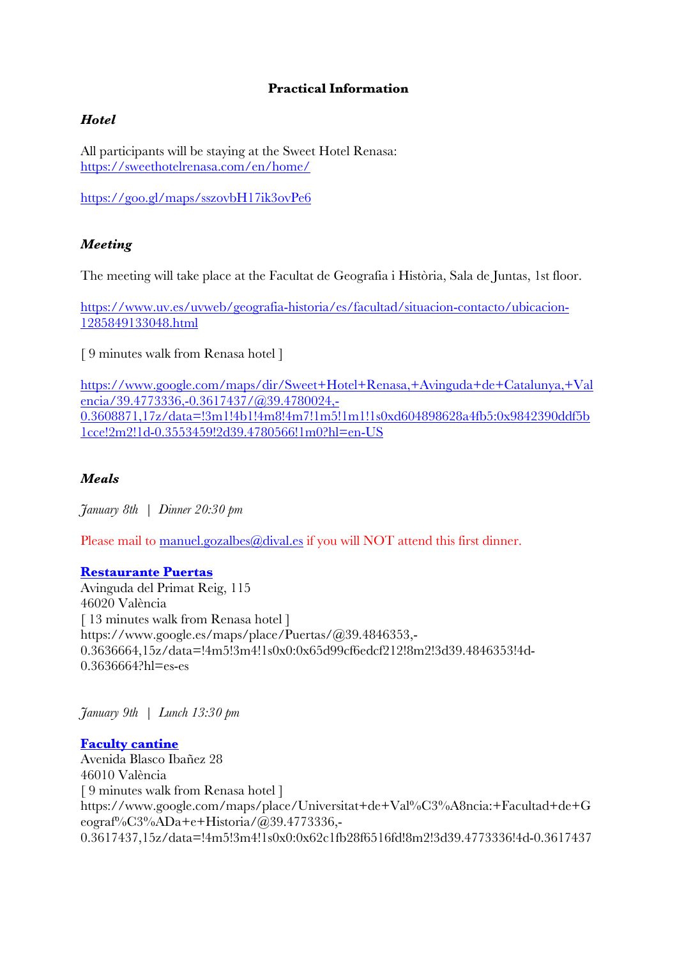### **Practical Information**

### *Hotel*

All participants will be staying at the Sweet Hotel Renasa: https://sweethotelrenasa.com/en/home/

https://goo.gl/maps/sszovbH17ik3ovPe6

### *Meeting*

The meeting will take place at the Facultat de Geografia i Història, Sala de Juntas, 1st floor.

https://www.uv.es/uvweb/geografia-historia/es/facultad/situacion-contacto/ubicacion-1285849133048.html

[ 9 minutes walk from Renasa hotel ]

https://www.google.com/maps/dir/Sweet+Hotel+Renasa,+Avinguda+de+Catalunya,+Val encia/39.4773336,-0.3617437/@39.4780024,- 0.3608871,17z/data=!3m1!4b1!4m8!4m7!1m5!1m1!1s0xd604898628a4fb5:0x9842390ddf5b 1cce!2m2!1d-0.3553459!2d39.4780566!1m0?hl=en-US

#### *Meals*

*January 8th | Dinner 20:30 pm*

Please mail to manuel.gozalbes@dival.es if you will NOT attend this first dinner.

#### **Restaurante Puertas**

Avinguda del Primat Reig, 115 46020 València [ 13 minutes walk from Renasa hotel ] https://www.google.es/maps/place/Puertas/@39.4846353,- 0.3636664,15z/data=!4m5!3m4!1s0x0:0x65d99cf6edcf212!8m2!3d39.4846353!4d-0.3636664?hl=es-es

*January 9th | Lunch 13:30 pm*

**Faculty cantine** Avenida Blasco Ibañez 28 46010 València [ 9 minutes walk from Renasa hotel ] https://www.google.com/maps/place/Universitat+de+Val%C3%A8ncia:+Facultad+de+G eograf%C3%ADa+e+Historia/@39.4773336,- 0.3617437,15z/data=!4m5!3m4!1s0x0:0x62c1fb28f6516fd!8m2!3d39.4773336!4d-0.3617437